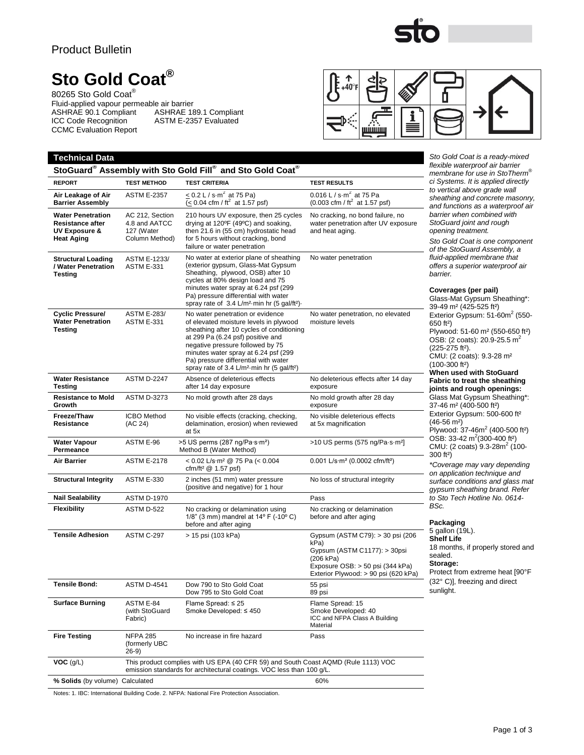### Product Bulletin

# **Sto Gold Coat®**

80265 Sto Gold Coat® Fluid-applied vapour permeable air barrier ASHRAE 90.1 Compliant ASHRAE 189.1 Compliant ICC Code Recognition ASTM E-2357 Evaluated CCMC Evaluation Report



| Sto Gold Coat is a ready-mixed<br><b>Technical Data</b>                                              |                                                                                                                                                             |                                                                                                                                                                                                                                                                                                                                                         |                                                                                                                                                                    |                                                                                                                                                                                                                                                                                                                |  |
|------------------------------------------------------------------------------------------------------|-------------------------------------------------------------------------------------------------------------------------------------------------------------|---------------------------------------------------------------------------------------------------------------------------------------------------------------------------------------------------------------------------------------------------------------------------------------------------------------------------------------------------------|--------------------------------------------------------------------------------------------------------------------------------------------------------------------|----------------------------------------------------------------------------------------------------------------------------------------------------------------------------------------------------------------------------------------------------------------------------------------------------------------|--|
| StoGuard® Assembly with Sto Gold Fill® and Sto Gold Coat®                                            | flexible waterproof air barrier<br>membrane for use in StoTherm®                                                                                            |                                                                                                                                                                                                                                                                                                                                                         |                                                                                                                                                                    |                                                                                                                                                                                                                                                                                                                |  |
| <b>REPORT</b>                                                                                        | <b>TEST METHOD</b>                                                                                                                                          | <b>TEST CRITERIA</b>                                                                                                                                                                                                                                                                                                                                    | <b>TEST RESULTS</b>                                                                                                                                                | ci Systems. It is applied directly                                                                                                                                                                                                                                                                             |  |
| Air Leakage of Air<br><b>Barrier Assembly</b>                                                        | <b>ASTM E-2357</b>                                                                                                                                          | $\leq$ 0.2 L / s·m <sup>2</sup> at 75 Pa)<br>$(< 0.04$ cfm / ft <sup>2</sup> at 1.57 psf)                                                                                                                                                                                                                                                               | 0.016 L / s $\cdot$ m <sup>2</sup> at 75 Pa<br>$(0.003 \text{ cfm} / \text{ ft}^2 \text{ at } 1.57 \text{ psf})$                                                   | to vertical above grade wall<br>sheathing and concrete masonry,<br>and functions as a waterproof air<br>barrier when combined with<br>StoGuard joint and rough<br>opening treatment.<br>Sto Gold Coat is one component<br>of the StoGuard Assembly, a                                                          |  |
| <b>Water Penetration</b><br><b>Resistance after</b><br><b>UV Exposure &amp;</b><br><b>Heat Aging</b> | AC 212, Section<br>4.8 and AATCC<br>127 (Water<br>Column Method)                                                                                            | 210 hours UV exposure, then 25 cycles<br>drying at 120°F (49°C) and soaking,<br>then 21.6 in (55 cm) hydrostatic head<br>for 5 hours without cracking, bond<br>failure or water penetration                                                                                                                                                             | No cracking, no bond failure, no<br>water penetration after UV exposure<br>and heat aging.                                                                         |                                                                                                                                                                                                                                                                                                                |  |
| <b>Structural Loading</b><br>/ Water Penetration<br><b>Testing</b>                                   | ASTM E-1233/<br><b>ASTM E-331</b>                                                                                                                           | No water at exterior plane of sheathing<br>(exterior gypsum, Glass-Mat Gypsum<br>Sheathing, plywood, OSB) after 10<br>cycles at 80% design load and 75<br>minutes water spray at 6.24 psf (299<br>Pa) pressure differential with water<br>spray rate of 3.4 L/m <sup>2</sup> min hr (5 gal/ft <sup>2</sup> ).                                           | No water penetration                                                                                                                                               | fluid-applied membrane that<br>offers a superior waterproof air<br>barrier.<br>Coverages (per pail)<br>Glass-Mat Gypsum Sheathing*:<br>39-49 m <sup>2</sup> (425-525 ft <sup>2</sup> )                                                                                                                         |  |
| <b>Cyclic Pressure/</b><br><b>Water Penetration</b><br>Testing                                       | <b>ASTM E-283/</b><br><b>ASTM E-331</b>                                                                                                                     | No water penetration or evidence<br>of elevated moisture levels in plywood<br>sheathing after 10 cycles of conditioning<br>at 299 Pa (6.24 psf) positive and<br>negative pressure followed by 75<br>minutes water spray at 6.24 psf (299)<br>Pa) pressure differential with water<br>spray rate of 3.4 L/m <sup>2</sup> min hr (5 gal/ft <sup>2</sup> ) | No water penetration, no elevated<br>moisture levels                                                                                                               | Exterior Gypsum: 51-60m <sup>2</sup> (550-<br>650 ft <sup>2</sup> )<br>Plywood: 51-60 m <sup>2</sup> (550-650 ft <sup>2</sup> )<br>OSB: (2 coats): 20.9-25.5 m <sup>2</sup><br>(225-275 ft <sup>2</sup> ).<br>CMU: (2 coats): 9.3-28 m <sup>2</sup><br>$(100-300$ ft <sup>2</sup> )<br>When used with StoGuard |  |
| <b>Water Resistance</b><br><b>Testing</b>                                                            | <b>ASTM D-2247</b>                                                                                                                                          | Absence of deleterious effects<br>after 14 day exposure                                                                                                                                                                                                                                                                                                 | No deleterious effects after 14 day<br>exposure                                                                                                                    | <b>Fabric to treat the sheathing</b><br>joints and rough openings:                                                                                                                                                                                                                                             |  |
| <b>Resistance to Mold</b><br>Growth                                                                  | <b>ASTM D-3273</b>                                                                                                                                          | No mold growth after 28 days                                                                                                                                                                                                                                                                                                                            | No mold growth after 28 day<br>exposure                                                                                                                            | Glass Mat Gypsum Sheathing*:<br>37-46 m <sup>2</sup> (400-500 ft <sup>2</sup> )                                                                                                                                                                                                                                |  |
| Freeze/Thaw<br>Resistance                                                                            | <b>ICBO</b> Method<br>(AC 24)                                                                                                                               | No visible effects (cracking, checking,<br>delamination, erosion) when reviewed<br>at 5x                                                                                                                                                                                                                                                                | No visible deleterious effects<br>at 5x magnification                                                                                                              | Exterior Gypsum: 500-600 ft <sup>2</sup><br>$(46-56 \text{ m}^2)$<br>Plywood: 37-46m <sup>2</sup> (400-500 ft <sup>2</sup> )                                                                                                                                                                                   |  |
| <b>Water Vapour</b><br>Permeance                                                                     | ASTM E-96                                                                                                                                                   | >5 US perms (287 ng/Pa·s·m <sup>2</sup> )<br>Method B (Water Method)                                                                                                                                                                                                                                                                                    | >10 US perms (575 ng/Pa·s·m <sup>2</sup> ]                                                                                                                         | OSB: 33-42 m <sup>2</sup> (300-400 ft <sup>2</sup> )<br>CMU: (2 coats) 9.3-28m <sup>2</sup> (100-<br>$300 ft2$ )                                                                                                                                                                                               |  |
| Air Barrier                                                                                          | <b>ASTM E-2178</b>                                                                                                                                          | < $0.02$ L/s·m <sup>2</sup> @ 75 Pa (< $0.004$<br>cfm/ft <sup>2</sup> $@$ 1.57 psf)                                                                                                                                                                                                                                                                     | 0.001 L/s·m <sup>2</sup> (0.0002 cfm/ft <sup>2</sup> )                                                                                                             | *Coverage may vary depending<br>on application technique and                                                                                                                                                                                                                                                   |  |
| <b>Structural Integrity</b>                                                                          | <b>ASTM E-330</b>                                                                                                                                           | 2 inches (51 mm) water pressure<br>(positive and negative) for 1 hour                                                                                                                                                                                                                                                                                   | No loss of structural integrity                                                                                                                                    | surface conditions and glass mat<br>gypsum sheathing brand. Refer                                                                                                                                                                                                                                              |  |
| <b>Nail Sealability</b>                                                                              | <b>ASTM D-1970</b>                                                                                                                                          |                                                                                                                                                                                                                                                                                                                                                         | Pass                                                                                                                                                               | to Sto Tech Hotline No. 0614-<br>BSc.                                                                                                                                                                                                                                                                          |  |
| <b>Flexibility</b>                                                                                   | ASTM D-522                                                                                                                                                  | No cracking or delamination using<br>1/8" (3 mm) mandrel at $14^{\circ}$ F (-10° C)<br>before and after aging                                                                                                                                                                                                                                           | No cracking or delamination<br>before and after aging                                                                                                              | Packaging                                                                                                                                                                                                                                                                                                      |  |
| <b>Tensile Adhesion</b>                                                                              | ASTM C-297                                                                                                                                                  | > 15 psi (103 kPa)                                                                                                                                                                                                                                                                                                                                      | Gypsum (ASTM C79): > 30 psi (206)<br>kPa)<br>Gypsum (ASTM C1177): > 30psi<br>(206 kPa)<br>Exposure OSB: > 50 psi (344 kPa)<br>Exterior Plywood: > 90 psi (620 kPa) | 5 gallon (19L).<br><b>Shelf Life</b><br>18 months, if properly stored and<br>sealed.<br>Storage:<br>Protect from extreme heat [90°F                                                                                                                                                                            |  |
| <b>Tensile Bond:</b>                                                                                 | <b>ASTM D-4541</b>                                                                                                                                          | Dow 790 to Sto Gold Coat<br>Dow 795 to Sto Gold Coat                                                                                                                                                                                                                                                                                                    | 55 psi<br>89 psi                                                                                                                                                   | (32° C)], freezing and direct<br>sunlight.                                                                                                                                                                                                                                                                     |  |
| <b>Surface Burning</b>                                                                               | ASTM E-84<br>(with StoGuard<br>Fabric)                                                                                                                      | Flame Spread: ≤ 25<br>Smoke Developed: ≤ 450                                                                                                                                                                                                                                                                                                            | Flame Spread: 15<br>Smoke Developed: 40<br>ICC and NFPA Class A Building<br>Material                                                                               |                                                                                                                                                                                                                                                                                                                |  |
| <b>Fire Testing</b>                                                                                  | <b>NFPA 285</b><br>(formerly UBC<br>$26-9)$                                                                                                                 | No increase in fire hazard                                                                                                                                                                                                                                                                                                                              | Pass                                                                                                                                                               |                                                                                                                                                                                                                                                                                                                |  |
| $VOC$ (g/L)                                                                                          | This product complies with US EPA (40 CFR 59) and South Coast AQMD (Rule 1113) VOC<br>emission standards for architectural coatings. VOC less than 100 g/L. |                                                                                                                                                                                                                                                                                                                                                         |                                                                                                                                                                    |                                                                                                                                                                                                                                                                                                                |  |
| % Solids (by volume) Calculated                                                                      |                                                                                                                                                             |                                                                                                                                                                                                                                                                                                                                                         | 60%                                                                                                                                                                |                                                                                                                                                                                                                                                                                                                |  |

Notes: 1. IBC: International Building Code. 2. NFPA: National Fire Protection Association.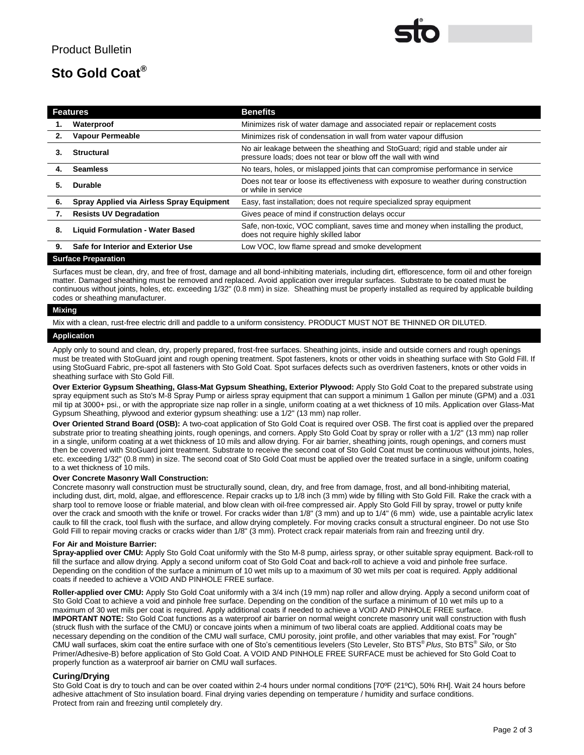## **Sto Gold Coat®**

| <b>Features</b> |                                           | <b>Benefits</b>                                                                                                                               |
|-----------------|-------------------------------------------|-----------------------------------------------------------------------------------------------------------------------------------------------|
| 1.              | Waterproof                                | Minimizes risk of water damage and associated repair or replacement costs                                                                     |
| 2.              | <b>Vapour Permeable</b>                   | Minimizes risk of condensation in wall from water vapour diffusion                                                                            |
| З.              | <b>Structural</b>                         | No air leakage between the sheathing and StoGuard; rigid and stable under air<br>pressure loads; does not tear or blow off the wall with wind |
| 4.              | <b>Seamless</b>                           | No tears, holes, or mislapped joints that can compromise performance in service                                                               |
| 5.              | <b>Durable</b>                            | Does not tear or loose its effectiveness with exposure to weather during construction<br>or while in service                                  |
| 6.              | Spray Applied via Airless Spray Equipment | Easy, fast installation; does not require specialized spray equipment                                                                         |
| 7.              | <b>Resists UV Degradation</b>             | Gives peace of mind if construction delays occur                                                                                              |
| 8.              | <b>Liquid Formulation - Water Based</b>   | Safe, non-toxic, VOC compliant, saves time and money when installing the product,<br>does not require highly skilled labor                    |
| 9.              | Safe for Interior and Exterior Use        | Low VOC, low flame spread and smoke development                                                                                               |

#### **Surface Preparation**

Surfaces must be clean, dry, and free of frost, damage and all bond-inhibiting materials, including dirt, efflorescence, form oil and other foreign matter. Damaged sheathing must be removed and replaced. Avoid application over irregular surfaces. Substrate to be coated must be continuous without joints, holes, etc. exceeding 1/32" (0.8 mm) in size. Sheathing must be properly installed as required by applicable building codes or sheathing manufacturer.

#### **Mixing**

Mix with a clean, rust-free electric drill and paddle to a uniform consistency. PRODUCT MUST NOT BE THINNED OR DILUTED.

#### **Application**

Apply only to sound and clean, dry, properly prepared, frost-free surfaces. Sheathing joints, inside and outside corners and rough openings must be treated with StoGuard joint and rough opening treatment. Spot fasteners, knots or other voids in sheathing surface with Sto Gold Fill. If using StoGuard Fabric, pre-spot all fasteners with Sto Gold Coat. Spot surfaces defects such as overdriven fasteners, knots or other voids in sheathing surface with Sto Gold Fill.

**Over Exterior Gypsum Sheathing, Glass-Mat Gypsum Sheathing, Exterior Plywood:** Apply Sto Gold Coat to the prepared substrate using spray equipment such as Sto's M-8 Spray Pump or airless spray equipment that can support a minimum 1 Gallon per minute (GPM) and a .031 mil tip at 3000+ psi., or with the appropriate size nap roller in a single, uniform coating at a wet thickness of 10 mils. Application over Glass-Mat Gypsum Sheathing, plywood and exterior gypsum sheathing: use a 1/2" (13 mm) nap roller.

**Over Oriented Strand Board (OSB):** A two-coat application of Sto Gold Coat is required over OSB. The first coat is applied over the prepared substrate prior to treating sheathing joints, rough openings, and corners. Apply Sto Gold Coat by spray or roller with a 1/2" (13 mm) nap roller in a single, uniform coating at a wet thickness of 10 mils and allow drying. For air barrier, sheathing joints, rough openings, and corners must then be covered with StoGuard joint treatment. Substrate to receive the second coat of Sto Gold Coat must be continuous without joints, holes, etc. exceeding 1/32" (0.8 mm) in size. The second coat of Sto Gold Coat must be applied over the treated surface in a single, uniform coating to a wet thickness of 10 mils.

#### **Over Concrete Masonry Wall Construction:**

Concrete masonry wall construction must be structurally sound, clean, dry, and free from damage, frost, and all bond-inhibiting material, including dust, dirt, mold, algae, and efflorescence. Repair cracks up to 1/8 inch (3 mm) wide by filling with Sto Gold Fill. Rake the crack with a sharp tool to remove loose or friable material, and blow clean with oil-free compressed air. Apply Sto Gold Fill by spray, trowel or putty knife over the crack and smooth with the knife or trowel. For cracks wider than 1/8" (3 mm) and up to 1/4" (6 mm) wide, use a paintable acrylic latex caulk to fill the crack, tool flush with the surface, and allow drying completely. For moving cracks consult a structural engineer. Do not use Sto Gold Fill to repair moving cracks or cracks wider than 1/8" (3 mm). Protect crack repair materials from rain and freezing until dry.

#### **For Air and Moisture Barrier:**

**Spray-applied over CMU:** Apply Sto Gold Coat uniformly with the Sto M-8 pump, airless spray, or other suitable spray equipment. Back-roll to fill the surface and allow drying. Apply a second uniform coat of Sto Gold Coat and back-roll to achieve a void and pinhole free surface. Depending on the condition of the surface a minimum of 10 wet mils up to a maximum of 30 wet mils per coat is required. Apply additional coats if needed to achieve a VOID AND PINHOLE FREE surface.

**Roller-applied over CMU:** Apply Sto Gold Coat uniformly with a 3/4 inch (19 mm) nap roller and allow drying. Apply a second uniform coat of Sto Gold Coat to achieve a void and pinhole free surface. Depending on the condition of the surface a minimum of 10 wet mils up to a maximum of 30 wet mils per coat is required. Apply additional coats if needed to achieve a VOID AND PINHOLE FREE surface. **IMPORTANT NOTE:** Sto Gold Coat functions as a waterproof air barrier on normal weight concrete masonry unit wall construction with flush (struck flush with the surface of the CMU) or concave joints when a minimum of two liberal coats are applied. Additional coats may be necessary depending on the condition of the CMU wall surface, CMU porosity, joint profile, and other variables that may exist. For "rough" CMU wall surfaces, skim coat the entire surface with one of Sto's cementitious levelers (Sto Leveler, Sto BTS® *Plus*, Sto BTS® *Silo*, or Sto Primer/Adhesive-B) before application of Sto Gold Coat. A VOID AND PINHOLE FREE SURFACE must be achieved for Sto Gold Coat to properly function as a waterproof air barrier on CMU wall surfaces.

#### **Curing/Drying**

Sto Gold Coat is dry to touch and can be over coated within 2-4 hours under normal conditions [70ºF (21°C), 50% RH]. Wait 24 hours before adhesive attachment of Sto insulation board. Final drying varies depending on temperature / humidity and surface conditions. Protect from rain and freezing until completely dry.